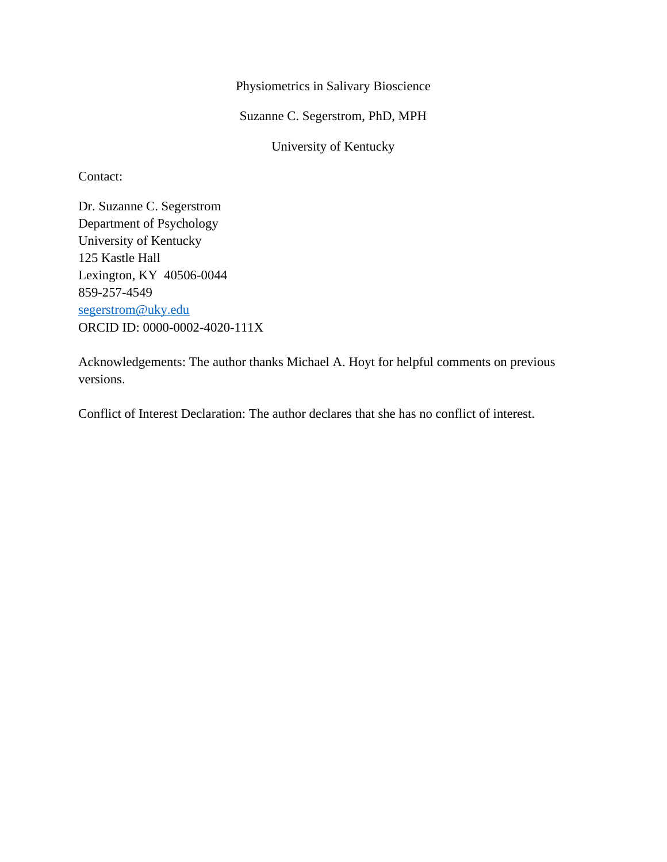Physiometrics in Salivary Bioscience

Suzanne C. Segerstrom, PhD, MPH

University of Kentucky

Contact:

Dr. Suzanne C. Segerstrom Department of Psychology University of Kentucky 125 Kastle Hall Lexington, KY 40506-0044 859-257-4549 [segerstrom@uky.edu](mailto:segerstrom@uky.edu) ORCID ID: 0000-0002-4020-111X

Acknowledgements: The author thanks Michael A. Hoyt for helpful comments on previous versions.

Conflict of Interest Declaration: The author declares that she has no conflict of interest.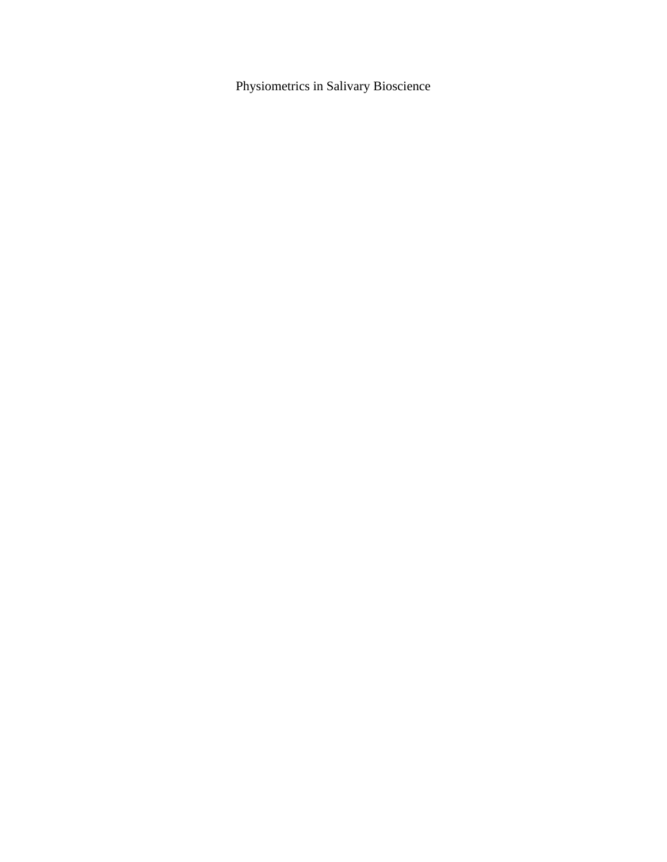Physiometrics in Salivary Bioscience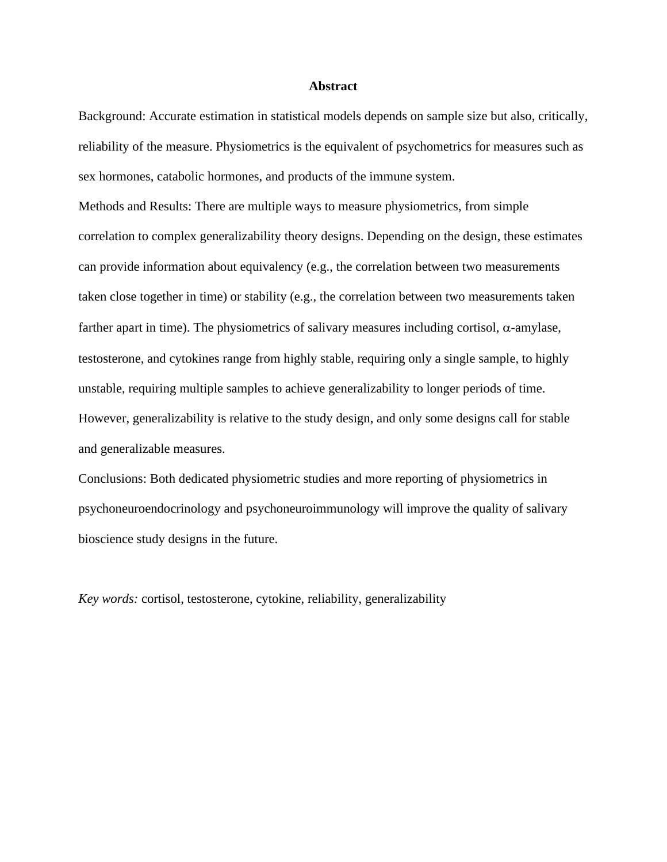#### **Abstract**

Background: Accurate estimation in statistical models depends on sample size but also, critically, reliability of the measure. Physiometrics is the equivalent of psychometrics for measures such as sex hormones, catabolic hormones, and products of the immune system.

Methods and Results: There are multiple ways to measure physiometrics, from simple correlation to complex generalizability theory designs. Depending on the design, these estimates can provide information about equivalency (e.g., the correlation between two measurements taken close together in time) or stability (e.g., the correlation between two measurements taken farther apart in time). The physiometrics of salivary measures including cortisol, α-amylase, testosterone, and cytokines range from highly stable, requiring only a single sample, to highly unstable, requiring multiple samples to achieve generalizability to longer periods of time. However, generalizability is relative to the study design, and only some designs call for stable and generalizable measures.

Conclusions: Both dedicated physiometric studies and more reporting of physiometrics in psychoneuroendocrinology and psychoneuroimmunology will improve the quality of salivary bioscience study designs in the future.

*Key words:* cortisol, testosterone, cytokine, reliability, generalizability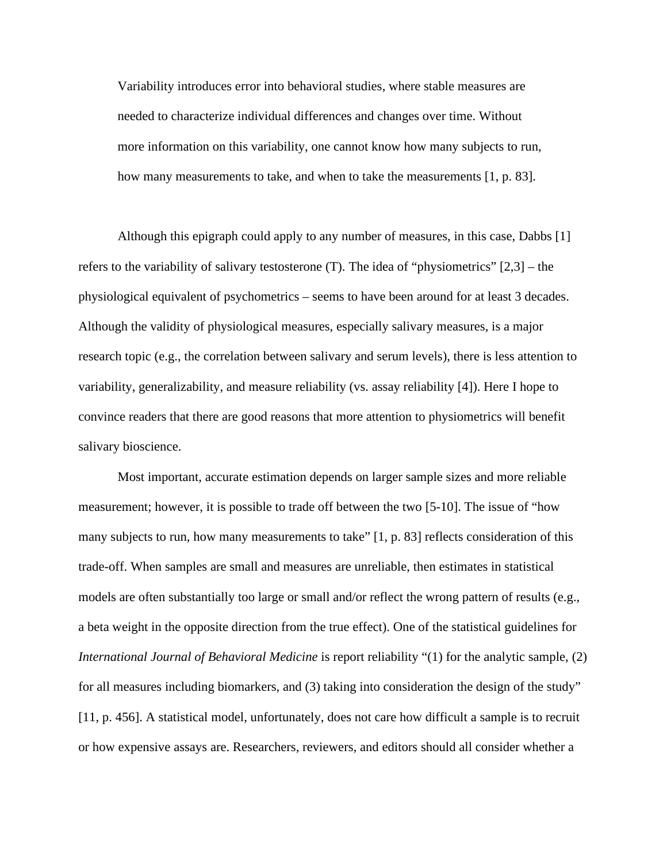Variability introduces error into behavioral studies, where stable measures are needed to characterize individual differences and changes over time. Without more information on this variability, one cannot know how many subjects to run, how many measurements to take, and when to take the measurements [1, p. 83].

Although this epigraph could apply to any number of measures, in this case, Dabbs [1] refers to the variability of salivary testosterone (T). The idea of "physiometrics" [2,3] – the physiological equivalent of psychometrics – seems to have been around for at least 3 decades. Although the validity of physiological measures, especially salivary measures, is a major research topic (e.g., the correlation between salivary and serum levels), there is less attention to variability, generalizability, and measure reliability (vs. assay reliability [4]). Here I hope to convince readers that there are good reasons that more attention to physiometrics will benefit salivary bioscience.

Most important, accurate estimation depends on larger sample sizes and more reliable measurement; however, it is possible to trade off between the two [5-10]. The issue of "how many subjects to run, how many measurements to take" [1, p. 83] reflects consideration of this trade-off. When samples are small and measures are unreliable, then estimates in statistical models are often substantially too large or small and/or reflect the wrong pattern of results (e.g., a beta weight in the opposite direction from the true effect). One of the statistical guidelines for *International Journal of Behavioral Medicine* is report reliability "(1) for the analytic sample, (2) for all measures including biomarkers, and (3) taking into consideration the design of the study" [11, p. 456]. A statistical model, unfortunately, does not care how difficult a sample is to recruit or how expensive assays are. Researchers, reviewers, and editors should all consider whether a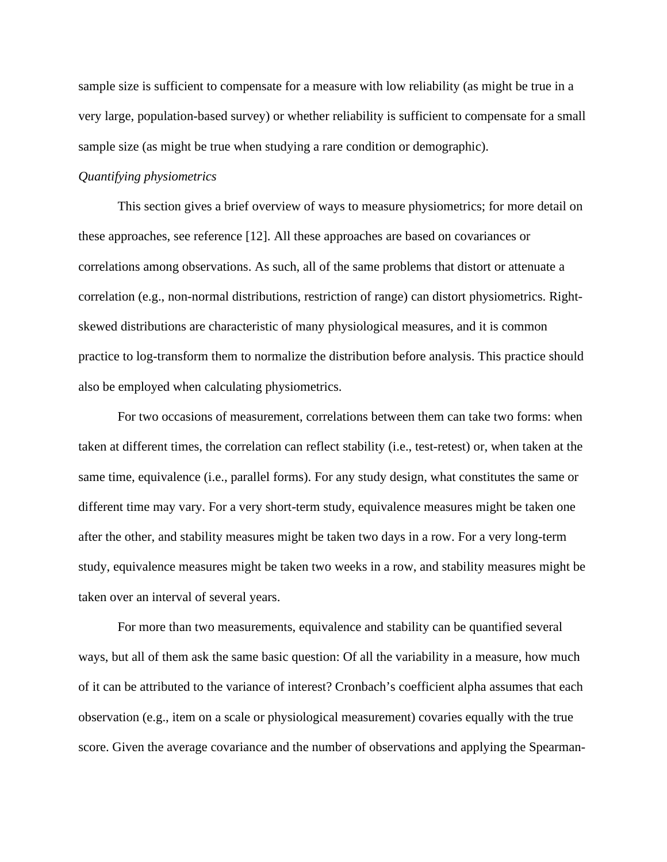sample size is sufficient to compensate for a measure with low reliability (as might be true in a very large, population-based survey) or whether reliability is sufficient to compensate for a small sample size (as might be true when studying a rare condition or demographic).

## *Quantifying physiometrics*

This section gives a brief overview of ways to measure physiometrics; for more detail on these approaches, see reference [12]. All these approaches are based on covariances or correlations among observations. As such, all of the same problems that distort or attenuate a correlation (e.g., non-normal distributions, restriction of range) can distort physiometrics. Rightskewed distributions are characteristic of many physiological measures, and it is common practice to log-transform them to normalize the distribution before analysis. This practice should also be employed when calculating physiometrics.

For two occasions of measurement, correlations between them can take two forms: when taken at different times, the correlation can reflect stability (i.e., test-retest) or, when taken at the same time, equivalence (i.e., parallel forms). For any study design, what constitutes the same or different time may vary. For a very short-term study, equivalence measures might be taken one after the other, and stability measures might be taken two days in a row. For a very long-term study, equivalence measures might be taken two weeks in a row, and stability measures might be taken over an interval of several years.

For more than two measurements, equivalence and stability can be quantified several ways, but all of them ask the same basic question: Of all the variability in a measure, how much of it can be attributed to the variance of interest? Cronbach's coefficient alpha assumes that each observation (e.g., item on a scale or physiological measurement) covaries equally with the true score. Given the average covariance and the number of observations and applying the Spearman-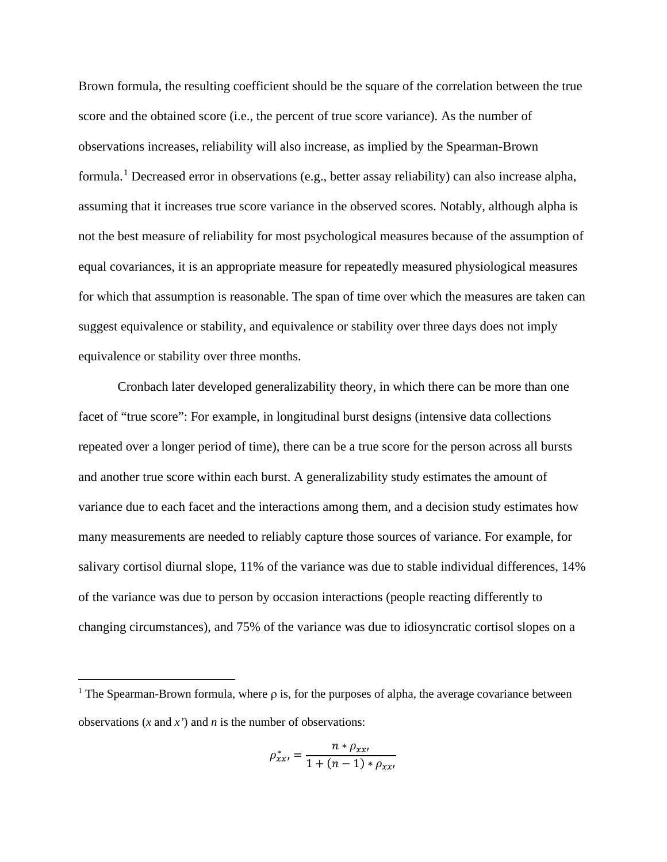Brown formula, the resulting coefficient should be the square of the correlation between the true score and the obtained score (i.e., the percent of true score variance). As the number of observations increases, reliability will also increase, as implied by the Spearman-Brown formula.<sup>[1](#page-5-0)</sup> Decreased error in observations (e.g., better assay reliability) can also increase alpha, assuming that it increases true score variance in the observed scores. Notably, although alpha is not the best measure of reliability for most psychological measures because of the assumption of equal covariances, it is an appropriate measure for repeatedly measured physiological measures for which that assumption is reasonable. The span of time over which the measures are taken can suggest equivalence or stability, and equivalence or stability over three days does not imply equivalence or stability over three months.

Cronbach later developed generalizability theory, in which there can be more than one facet of "true score": For example, in longitudinal burst designs (intensive data collections repeated over a longer period of time), there can be a true score for the person across all bursts and another true score within each burst. A generalizability study estimates the amount of variance due to each facet and the interactions among them, and a decision study estimates how many measurements are needed to reliably capture those sources of variance. For example, for salivary cortisol diurnal slope, 11% of the variance was due to stable individual differences, 14% of the variance was due to person by occasion interactions (people reacting differently to changing circumstances), and 75% of the variance was due to idiosyncratic cortisol slopes on a

$$
\rho_{xx'}^* = \frac{n * \rho_{xx'}}{1 + (n-1) * \rho_{xx'}}
$$

<span id="page-5-0"></span><sup>&</sup>lt;sup>1</sup> The Spearman-Brown formula, where  $\rho$  is, for the purposes of alpha, the average covariance between observations (*x* and *x'*) and *n* is the number of observations: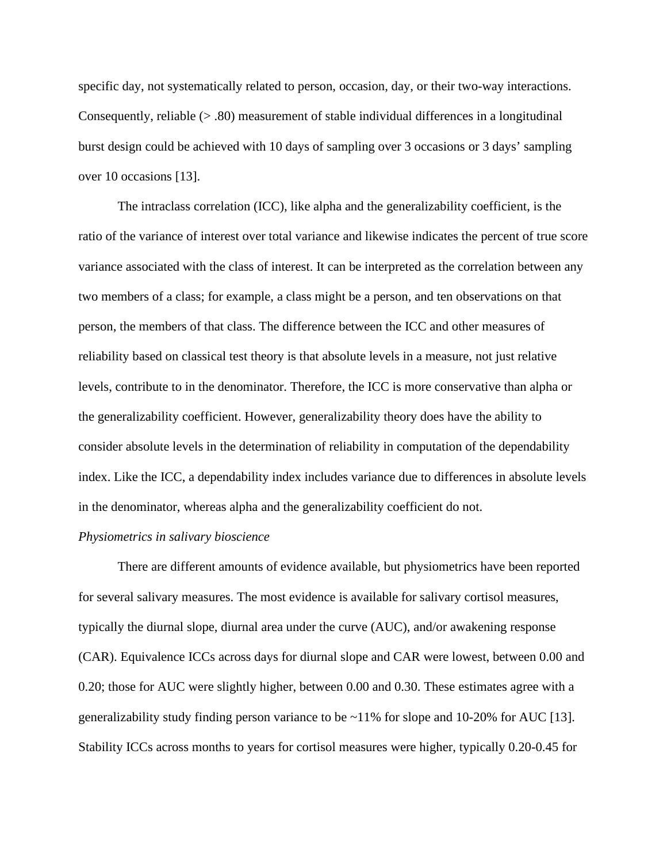specific day, not systematically related to person, occasion, day, or their two-way interactions. Consequently, reliable (> .80) measurement of stable individual differences in a longitudinal burst design could be achieved with 10 days of sampling over 3 occasions or 3 days' sampling over 10 occasions [13].

The intraclass correlation (ICC), like alpha and the generalizability coefficient, is the ratio of the variance of interest over total variance and likewise indicates the percent of true score variance associated with the class of interest. It can be interpreted as the correlation between any two members of a class; for example, a class might be a person, and ten observations on that person, the members of that class. The difference between the ICC and other measures of reliability based on classical test theory is that absolute levels in a measure, not just relative levels, contribute to in the denominator. Therefore, the ICC is more conservative than alpha or the generalizability coefficient. However, generalizability theory does have the ability to consider absolute levels in the determination of reliability in computation of the dependability index. Like the ICC, a dependability index includes variance due to differences in absolute levels in the denominator, whereas alpha and the generalizability coefficient do not.

## *Physiometrics in salivary bioscience*

There are different amounts of evidence available, but physiometrics have been reported for several salivary measures. The most evidence is available for salivary cortisol measures, typically the diurnal slope, diurnal area under the curve (AUC), and/or awakening response (CAR). Equivalence ICCs across days for diurnal slope and CAR were lowest, between 0.00 and 0.20; those for AUC were slightly higher, between 0.00 and 0.30. These estimates agree with a generalizability study finding person variance to be ~11% for slope and 10-20% for AUC [13]. Stability ICCs across months to years for cortisol measures were higher, typically 0.20-0.45 for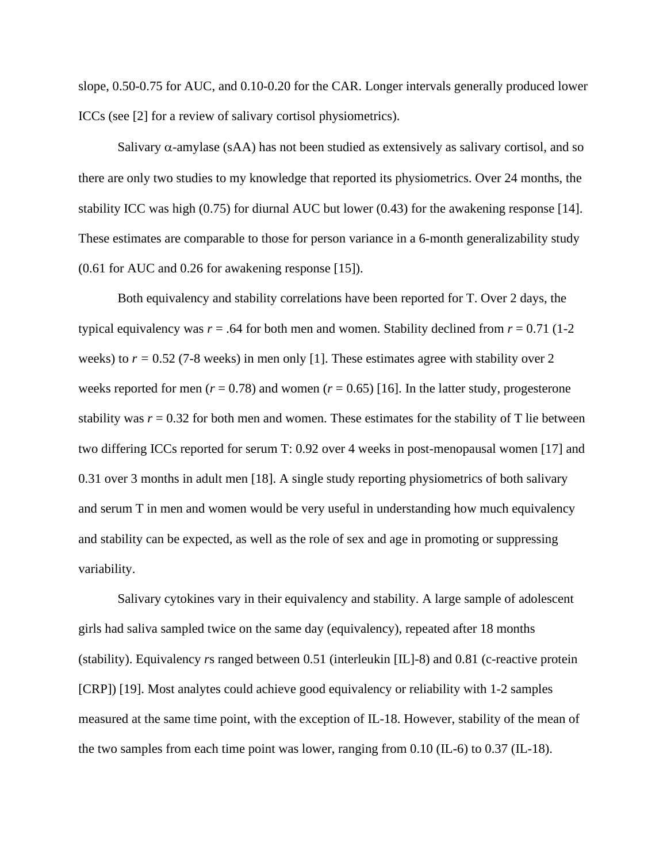slope, 0.50-0.75 for AUC, and 0.10-0.20 for the CAR. Longer intervals generally produced lower ICCs (see [2] for a review of salivary cortisol physiometrics).

Salivary  $\alpha$ -amylase (sAA) has not been studied as extensively as salivary cortisol, and so there are only two studies to my knowledge that reported its physiometrics. Over 24 months, the stability ICC was high (0.75) for diurnal AUC but lower (0.43) for the awakening response [14]. These estimates are comparable to those for person variance in a 6-month generalizability study (0.61 for AUC and 0.26 for awakening response [15]).

Both equivalency and stability correlations have been reported for T. Over 2 days, the typical equivalency was  $r = .64$  for both men and women. Stability declined from  $r = 0.71$  (1-2) weeks) to  $r = 0.52$  (7-8 weeks) in men only [1]. These estimates agree with stability over 2 weeks reported for men ( $r = 0.78$ ) and women ( $r = 0.65$ ) [16]. In the latter study, progesterone stability was  $r = 0.32$  for both men and women. These estimates for the stability of T lie between two differing ICCs reported for serum T: 0.92 over 4 weeks in post-menopausal women [17] and 0.31 over 3 months in adult men [18]. A single study reporting physiometrics of both salivary and serum T in men and women would be very useful in understanding how much equivalency and stability can be expected, as well as the role of sex and age in promoting or suppressing variability.

Salivary cytokines vary in their equivalency and stability. A large sample of adolescent girls had saliva sampled twice on the same day (equivalency), repeated after 18 months (stability). Equivalency *r*s ranged between 0.51 (interleukin [IL]-8) and 0.81 (c-reactive protein [CRP]) [19]. Most analytes could achieve good equivalency or reliability with 1-2 samples measured at the same time point, with the exception of IL-18. However, stability of the mean of the two samples from each time point was lower, ranging from  $0.10$  (IL-6) to  $0.37$  (IL-18).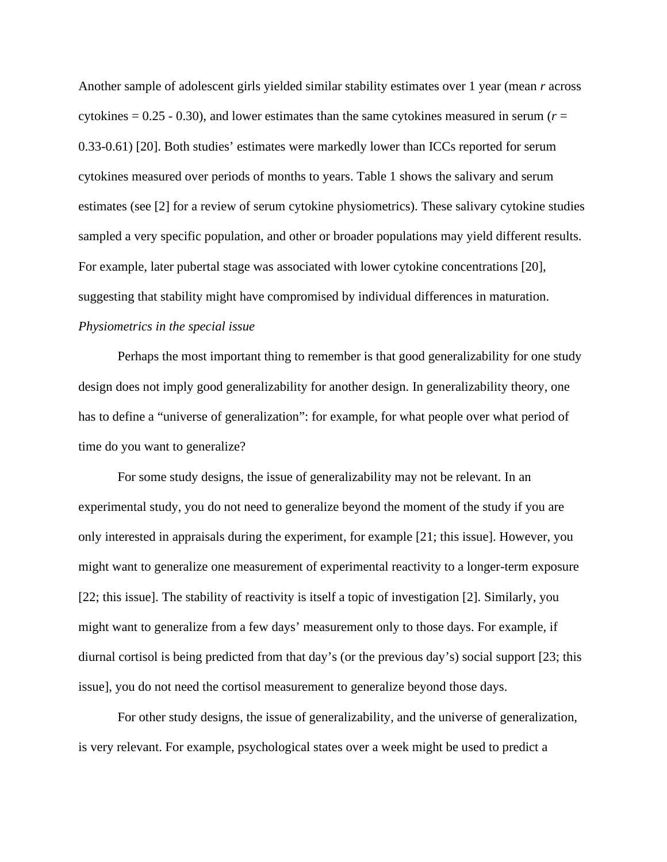Another sample of adolescent girls yielded similar stability estimates over 1 year (mean *r* across cytokines  $= 0.25 - 0.30$ , and lower estimates than the same cytokines measured in serum ( $r =$ 0.33-0.61) [20]. Both studies' estimates were markedly lower than ICCs reported for serum cytokines measured over periods of months to years. Table 1 shows the salivary and serum estimates (see [2] for a review of serum cytokine physiometrics). These salivary cytokine studies sampled a very specific population, and other or broader populations may yield different results. For example, later pubertal stage was associated with lower cytokine concentrations [20], suggesting that stability might have compromised by individual differences in maturation. *Physiometrics in the special issue*

Perhaps the most important thing to remember is that good generalizability for one study design does not imply good generalizability for another design. In generalizability theory, one has to define a "universe of generalization": for example, for what people over what period of time do you want to generalize?

For some study designs, the issue of generalizability may not be relevant. In an experimental study, you do not need to generalize beyond the moment of the study if you are only interested in appraisals during the experiment, for example [21; this issue]. However, you might want to generalize one measurement of experimental reactivity to a longer-term exposure [22; this issue]. The stability of reactivity is itself a topic of investigation [2]. Similarly, you might want to generalize from a few days' measurement only to those days. For example, if diurnal cortisol is being predicted from that day's (or the previous day's) social support [23; this issue], you do not need the cortisol measurement to generalize beyond those days.

For other study designs, the issue of generalizability, and the universe of generalization, is very relevant. For example, psychological states over a week might be used to predict a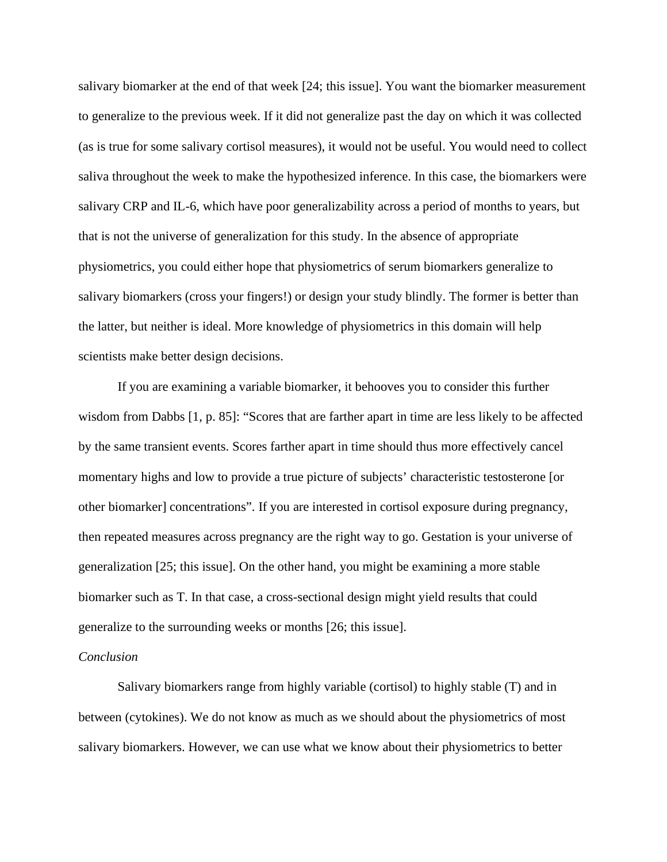salivary biomarker at the end of that week [24; this issue]. You want the biomarker measurement to generalize to the previous week. If it did not generalize past the day on which it was collected (as is true for some salivary cortisol measures), it would not be useful. You would need to collect saliva throughout the week to make the hypothesized inference. In this case, the biomarkers were salivary CRP and IL-6, which have poor generalizability across a period of months to years, but that is not the universe of generalization for this study. In the absence of appropriate physiometrics, you could either hope that physiometrics of serum biomarkers generalize to salivary biomarkers (cross your fingers!) or design your study blindly. The former is better than the latter, but neither is ideal. More knowledge of physiometrics in this domain will help scientists make better design decisions.

If you are examining a variable biomarker, it behooves you to consider this further wisdom from Dabbs [1, p. 85]: "Scores that are farther apart in time are less likely to be affected by the same transient events. Scores farther apart in time should thus more effectively cancel momentary highs and low to provide a true picture of subjects' characteristic testosterone [or other biomarker] concentrations". If you are interested in cortisol exposure during pregnancy, then repeated measures across pregnancy are the right way to go. Gestation is your universe of generalization [25; this issue]. On the other hand, you might be examining a more stable biomarker such as T. In that case, a cross-sectional design might yield results that could generalize to the surrounding weeks or months [26; this issue].

#### *Conclusion*

Salivary biomarkers range from highly variable (cortisol) to highly stable (T) and in between (cytokines). We do not know as much as we should about the physiometrics of most salivary biomarkers. However, we can use what we know about their physiometrics to better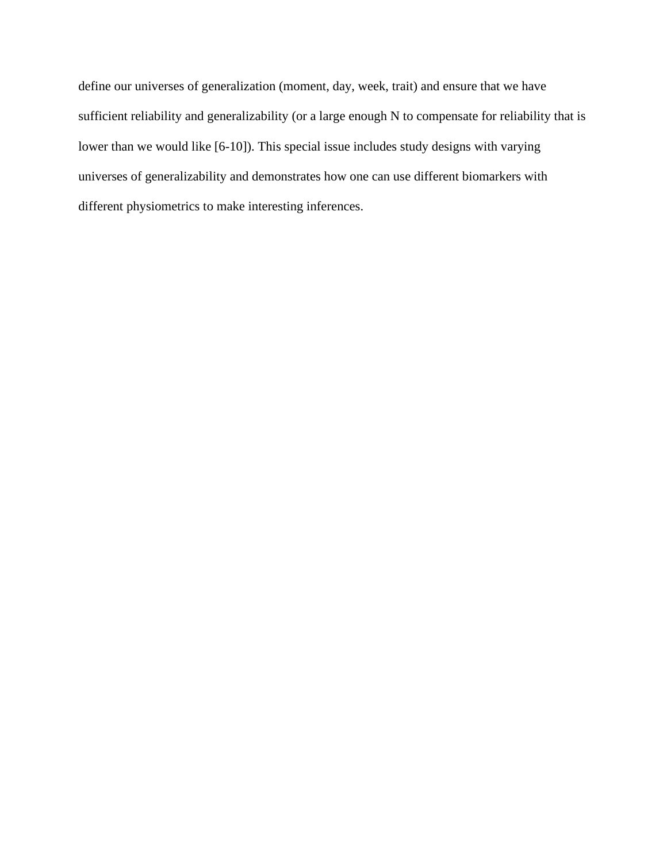define our universes of generalization (moment, day, week, trait) and ensure that we have sufficient reliability and generalizability (or a large enough N to compensate for reliability that is lower than we would like [6-10]). This special issue includes study designs with varying universes of generalizability and demonstrates how one can use different biomarkers with different physiometrics to make interesting inferences.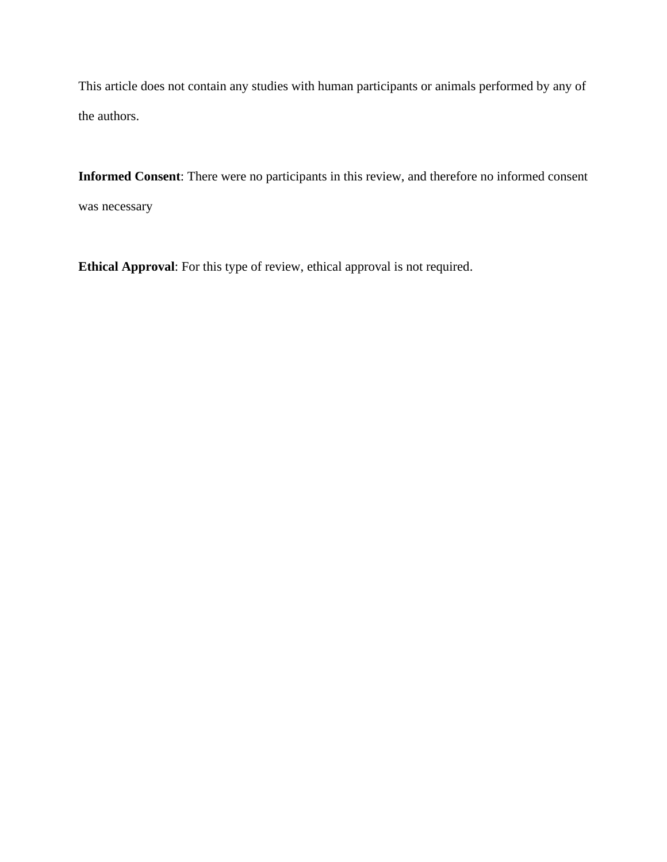This article does not contain any studies with human participants or animals performed by any of the authors.

**Informed Consent**: There were no participants in this review, and therefore no informed consent was necessary

**Ethical Approval**: For this type of review, ethical approval is not required.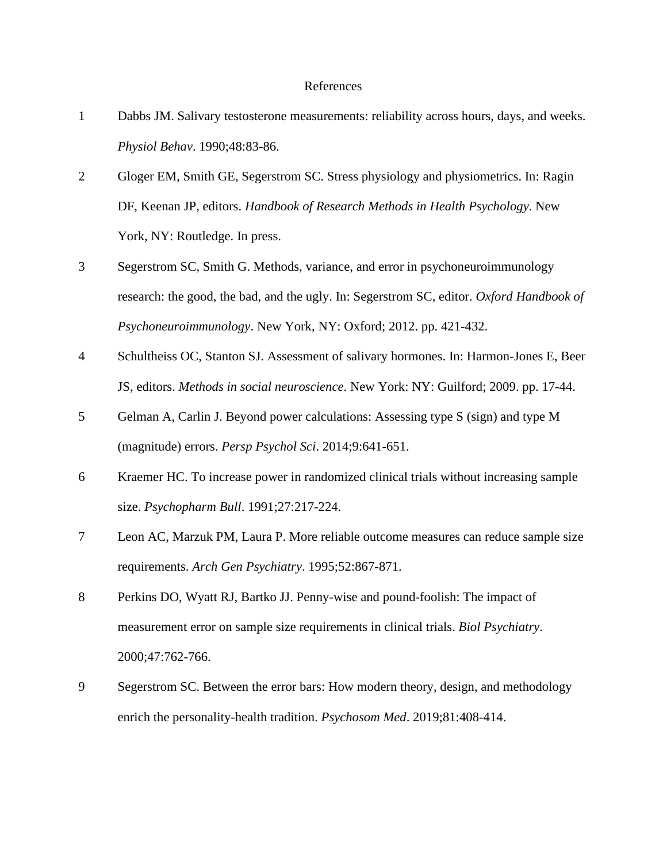#### References

- 1 Dabbs JM. Salivary testosterone measurements: reliability across hours, days, and weeks. *Physiol Behav*. 1990;48:83-86.
- 2 Gloger EM, Smith GE, Segerstrom SC. Stress physiology and physiometrics. In: Ragin DF, Keenan JP, editors. *Handbook of Research Methods in Health Psychology*. New York, NY: Routledge. In press.
- 3 Segerstrom SC, Smith G. Methods, variance, and error in psychoneuroimmunology research: the good, the bad, and the ugly. In: Segerstrom SC, editor. *Oxford Handbook of Psychoneuroimmunology*. New York, NY: Oxford; 2012. pp. 421-432.
- 4 Schultheiss OC, Stanton SJ. Assessment of salivary hormones. In: Harmon-Jones E, Beer JS, editors. *Methods in social neuroscience*. New York: NY: Guilford; 2009. pp. 17-44.
- 5 Gelman A, Carlin J. Beyond power calculations: Assessing type S (sign) and type M (magnitude) errors. *Persp Psychol Sci*. 2014;9:641-651.
- 6 Kraemer HC. To increase power in randomized clinical trials without increasing sample size. *Psychopharm Bull*. 1991;27:217-224.
- 7 Leon AC, Marzuk PM, Laura P. More reliable outcome measures can reduce sample size requirements. *Arch Gen Psychiatry*. 1995;52:867-871.
- 8 Perkins DO, Wyatt RJ, Bartko JJ. Penny-wise and pound-foolish: The impact of measurement error on sample size requirements in clinical trials. *Biol Psychiatry*. 2000;47:762-766.
- 9 Segerstrom SC. Between the error bars: How modern theory, design, and methodology enrich the personality-health tradition. *Psychosom Med*. 2019;81:408-414.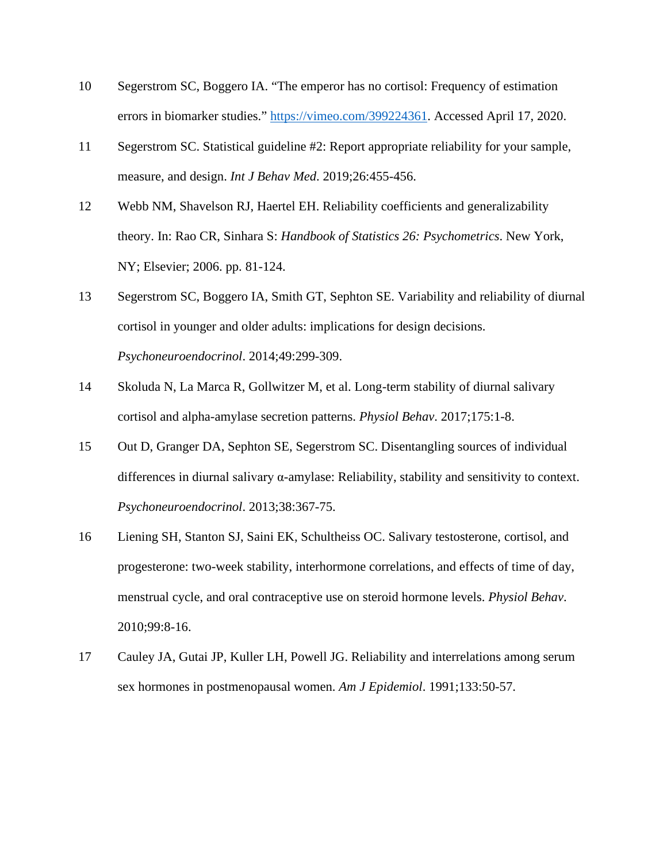- 10 Segerstrom SC, Boggero IA. "The emperor has no cortisol: Frequency of estimation errors in biomarker studies." [https://vimeo.com/399224361.](https://vimeo.com/399224361) Accessed April 17, 2020.
- 11 Segerstrom SC. Statistical guideline #2: Report appropriate reliability for your sample, measure, and design. *Int J Behav Med*. 2019;26:455-456.
- 12 Webb NM, Shavelson RJ, Haertel EH. Reliability coefficients and generalizability theory. In: Rao CR, Sinhara S: *Handbook of Statistics 26: Psychometrics*. New York, NY; Elsevier; 2006. pp. 81-124.
- 13 Segerstrom SC, Boggero IA, Smith GT, Sephton SE. Variability and reliability of diurnal cortisol in younger and older adults: implications for design decisions. *Psychoneuroendocrinol*. 2014;49:299-309.
- 14 Skoluda N, La Marca R, Gollwitzer M, et al. Long-term stability of diurnal salivary cortisol and alpha-amylase secretion patterns. *Physiol Behav*. 2017;175:1-8.
- 15 Out D, Granger DA, Sephton SE, Segerstrom SC. Disentangling sources of individual differences in diurnal salivary α-amylase: Reliability, stability and sensitivity to context. *Psychoneuroendocrinol*. 2013;38:367-75.
- 16 Liening SH, Stanton SJ, Saini EK, Schultheiss OC. Salivary testosterone, cortisol, and progesterone: two-week stability, interhormone correlations, and effects of time of day, menstrual cycle, and oral contraceptive use on steroid hormone levels. *Physiol Behav*. 2010;99:8-16.
- 17 Cauley JA, Gutai JP, Kuller LH, Powell JG. Reliability and interrelations among serum sex hormones in postmenopausal women. *Am J Epidemiol*. 1991;133:50-57.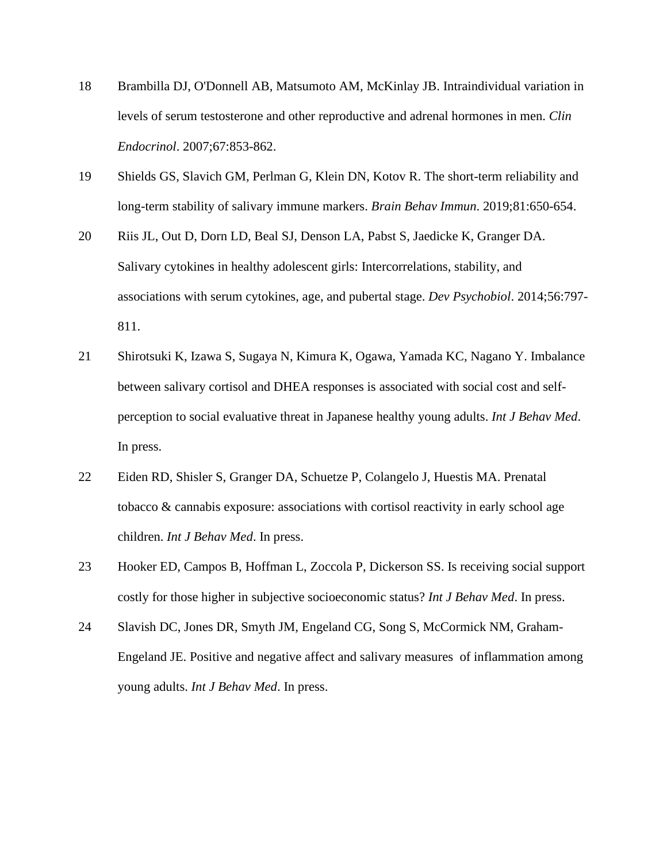- 18 Brambilla DJ, O'Donnell AB, Matsumoto AM, McKinlay JB. Intraindividual variation in levels of serum testosterone and other reproductive and adrenal hormones in men. *Clin Endocrinol*. 2007;67:853-862.
- 19 Shields GS, Slavich GM, Perlman G, Klein DN, Kotov R. The short-term reliability and long-term stability of salivary immune markers. *Brain Behav Immun*. 2019;81:650-654.
- 20 Riis JL, Out D, Dorn LD, Beal SJ, Denson LA, Pabst S, Jaedicke K, Granger DA. Salivary cytokines in healthy adolescent girls: Intercorrelations, stability, and associations with serum cytokines, age, and pubertal stage. *Dev Psychobiol*. 2014;56:797- 811.
- 21 Shirotsuki K, Izawa S, Sugaya N, Kimura K, Ogawa, Yamada KC, Nagano Y. Imbalance between salivary cortisol and DHEA responses is associated with social cost and selfperception to social evaluative threat in Japanese healthy young adults. *Int J Behav Med*. In press.
- 22 Eiden RD, Shisler S, Granger DA, Schuetze P, Colangelo J, Huestis MA. Prenatal tobacco & cannabis exposure: associations with cortisol reactivity in early school age children. *Int J Behav Med*. In press.
- 23 Hooker ED, Campos B, Hoffman L, Zoccola P, Dickerson SS. Is receiving social support costly for those higher in subjective socioeconomic status? *Int J Behav Med*. In press.
- 24 Slavish DC, Jones DR, Smyth JM, Engeland CG, Song S, McCormick NM, Graham-Engeland JE. Positive and negative affect and salivary measures of inflammation among young adults. *Int J Behav Med*. In press.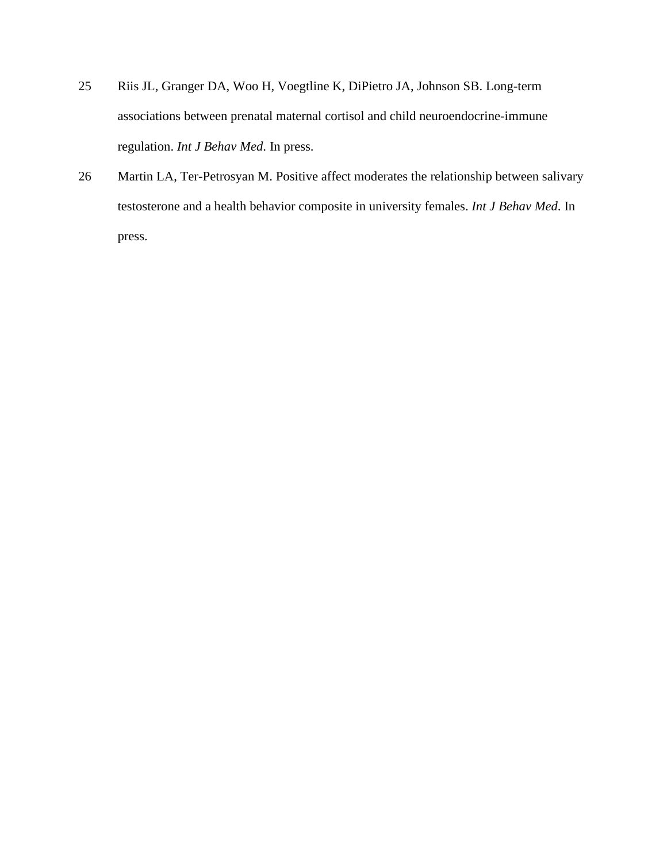- 25 Riis JL, Granger DA, Woo H, Voegtline K, DiPietro JA, Johnson SB. Long-term associations between prenatal maternal cortisol and child neuroendocrine-immune regulation. *Int J Behav Med*. In press.
- 26 Martin LA, Ter-Petrosyan M. Positive affect moderates the relationship between salivary testosterone and a health behavior composite in university females. *Int J Behav Med*. In press.